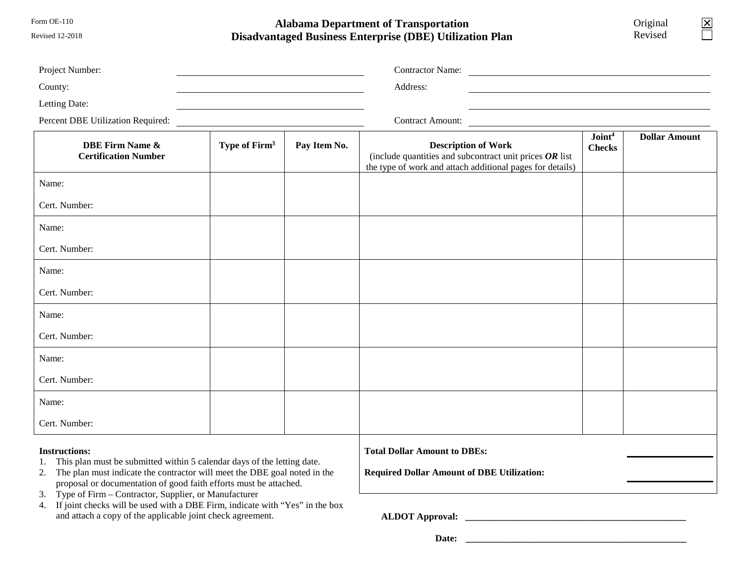Form OE-110

Revised 12-2018

## **Alabama Department of Transportation Disadvantaged Business Enterprise (DBE) Utilization Plan**

Original Revised

 $\boxed{\mathsf{X}}$ ñ

| Project Number:                                                                                                                                                                 |                           |                                                                                          | <b>Contractor Name:</b><br><u> 1989 - John Stein, Amerikaansk konstantiner (</u>                                                                     |                                     |                      |
|---------------------------------------------------------------------------------------------------------------------------------------------------------------------------------|---------------------------|------------------------------------------------------------------------------------------|------------------------------------------------------------------------------------------------------------------------------------------------------|-------------------------------------|----------------------|
| County:                                                                                                                                                                         |                           |                                                                                          | Address:                                                                                                                                             |                                     |                      |
| Letting Date:                                                                                                                                                                   |                           |                                                                                          |                                                                                                                                                      |                                     |                      |
| Percent DBE Utilization Required:                                                                                                                                               |                           |                                                                                          | <b>Contract Amount:</b>                                                                                                                              |                                     |                      |
| <b>DBE Firm Name &amp;</b><br><b>Certification Number</b>                                                                                                                       | Type of Firm <sup>3</sup> | Pay Item No.                                                                             | <b>Description of Work</b><br>(include quantities and subcontract unit prices $OR$ list<br>the type of work and attach additional pages for details) | Joint <sup>4</sup><br><b>Checks</b> | <b>Dollar Amount</b> |
| Name:                                                                                                                                                                           |                           |                                                                                          |                                                                                                                                                      | No                                  |                      |
| Cert. Number:                                                                                                                                                                   |                           |                                                                                          |                                                                                                                                                      |                                     |                      |
| Name:                                                                                                                                                                           |                           |                                                                                          |                                                                                                                                                      | N <sub>o</sub>                      |                      |
| Cert. Number:                                                                                                                                                                   |                           |                                                                                          |                                                                                                                                                      |                                     |                      |
| Name:                                                                                                                                                                           |                           |                                                                                          |                                                                                                                                                      | No                                  |                      |
| Cert. Number:                                                                                                                                                                   |                           |                                                                                          |                                                                                                                                                      |                                     |                      |
| Name:                                                                                                                                                                           |                           |                                                                                          |                                                                                                                                                      | $\rm No$                            |                      |
| Cert. Number:                                                                                                                                                                   |                           |                                                                                          |                                                                                                                                                      |                                     |                      |
| Name:                                                                                                                                                                           |                           |                                                                                          |                                                                                                                                                      | No                                  |                      |
| Cert. Number:                                                                                                                                                                   |                           |                                                                                          |                                                                                                                                                      |                                     |                      |
| Name:                                                                                                                                                                           |                           |                                                                                          |                                                                                                                                                      | N <sub>o</sub>                      |                      |
| Cert. Number:                                                                                                                                                                   |                           |                                                                                          |                                                                                                                                                      |                                     |                      |
| <b>Instructions:</b><br>This plan must be submitted within 5 calendar days of the letting date.<br>2. The plan must indicate the contractor will meet the DBE goal noted in the |                           | <b>Total Dollar Amount to DBEs:</b><br><b>Required Dollar Amount of DBE Utilization:</b> |                                                                                                                                                      |                                     |                      |

3. Type of Firm – Contractor, Supplier, or Manufacturer 4. If joint checks will be used with a DBE Firm, indicate with "Yes" in the box

proposal or documentation of good faith efforts must be attached.

and attach a copy of the applicable joint check agreement.

**ALDOT Approval: \_\_\_\_\_\_\_\_\_\_\_\_\_\_\_\_\_\_\_\_\_\_\_\_\_\_\_\_\_\_\_\_\_\_\_\_\_\_\_\_\_\_\_\_\_\_\_**

 **Date: \_\_\_\_\_\_\_\_\_\_\_\_\_\_\_\_\_\_\_\_\_\_\_\_\_\_\_\_\_\_\_\_\_\_\_\_\_\_\_\_\_\_\_\_\_\_\_**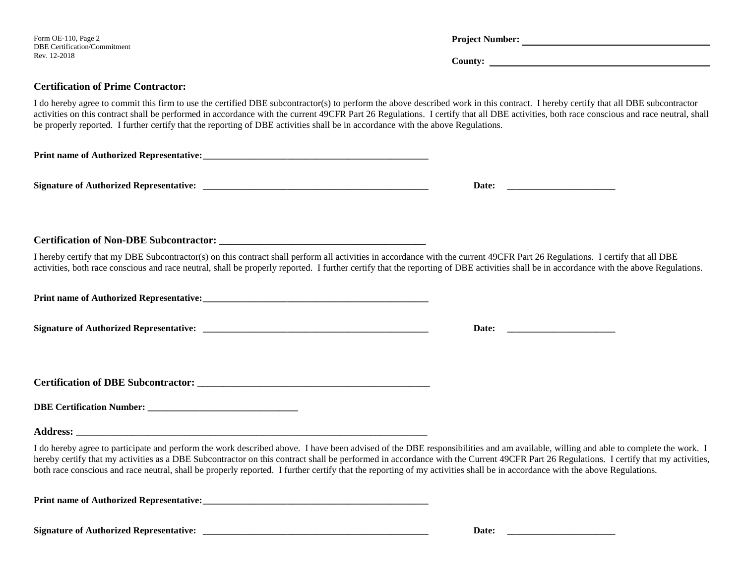| Form OE-110, Page 2<br>DBE Certification/Commitment<br>Rev. 12-2018                                                                                                                                                                                                                                                                                                                                                                                                                                                                                     | Project Number: |
|---------------------------------------------------------------------------------------------------------------------------------------------------------------------------------------------------------------------------------------------------------------------------------------------------------------------------------------------------------------------------------------------------------------------------------------------------------------------------------------------------------------------------------------------------------|-----------------|
| <b>Certification of Prime Contractor:</b>                                                                                                                                                                                                                                                                                                                                                                                                                                                                                                               |                 |
| I do hereby agree to commit this firm to use the certified DBE subcontractor(s) to perform the above described work in this contract. I hereby certify that all DBE subcontractor<br>activities on this contract shall be performed in accordance with the current 49CFR Part 26 Regulations. I certify that all DBE activities, both race conscious and race neutral, shall<br>be properly reported. I further certify that the reporting of DBE activities shall be in accordance with the above Regulations.                                         |                 |
|                                                                                                                                                                                                                                                                                                                                                                                                                                                                                                                                                         |                 |
|                                                                                                                                                                                                                                                                                                                                                                                                                                                                                                                                                         |                 |
| <b>Certification of Non-DBE Subcontractor:</b>                                                                                                                                                                                                                                                                                                                                                                                                                                                                                                          |                 |
| I hereby certify that my DBE Subcontractor(s) on this contract shall perform all activities in accordance with the current 49CFR Part 26 Regulations. I certify that all DBE<br>activities, both race conscious and race neutral, shall be properly reported. I further certify that the reporting of DBE activities shall be in accordance with the above Regulations.                                                                                                                                                                                 |                 |
|                                                                                                                                                                                                                                                                                                                                                                                                                                                                                                                                                         |                 |
|                                                                                                                                                                                                                                                                                                                                                                                                                                                                                                                                                         |                 |
|                                                                                                                                                                                                                                                                                                                                                                                                                                                                                                                                                         |                 |
|                                                                                                                                                                                                                                                                                                                                                                                                                                                                                                                                                         |                 |
|                                                                                                                                                                                                                                                                                                                                                                                                                                                                                                                                                         |                 |
| I do hereby agree to participate and perform the work described above. I have been advised of the DBE responsibilities and am available, willing and able to complete the work. I<br>hereby certify that my activities as a DBE Subcontractor on this contract shall be performed in accordance with the Current 49CFR Part 26 Regulations. I certify that my activities,<br>both race conscious and race neutral, shall be properly reported. I further certify that the reporting of my activities shall be in accordance with the above Regulations. |                 |
|                                                                                                                                                                                                                                                                                                                                                                                                                                                                                                                                                         |                 |
|                                                                                                                                                                                                                                                                                                                                                                                                                                                                                                                                                         |                 |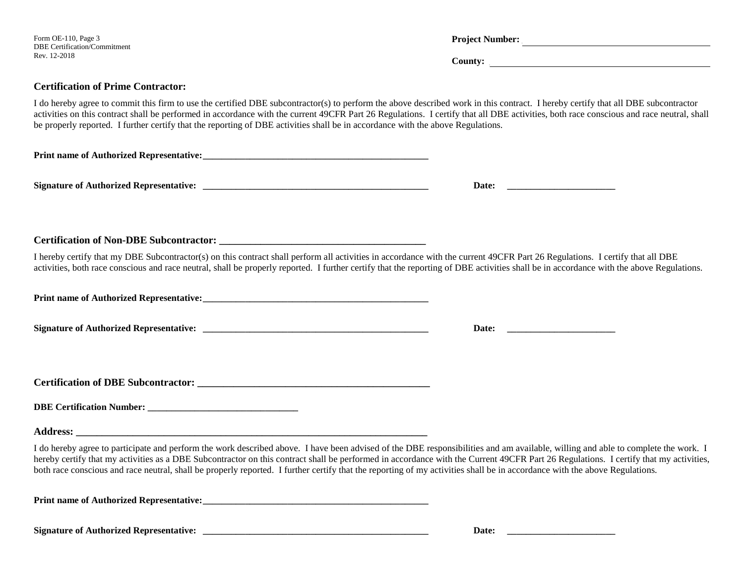| Form OE-110, Page 3<br>DBE Certification/Commitment<br>Rev. 12-2018                                                                                                                                                                                                                                                                                                                                                                                                                                                                                     | Project Number: |
|---------------------------------------------------------------------------------------------------------------------------------------------------------------------------------------------------------------------------------------------------------------------------------------------------------------------------------------------------------------------------------------------------------------------------------------------------------------------------------------------------------------------------------------------------------|-----------------|
| <b>Certification of Prime Contractor:</b>                                                                                                                                                                                                                                                                                                                                                                                                                                                                                                               |                 |
| I do hereby agree to commit this firm to use the certified DBE subcontractor(s) to perform the above described work in this contract. I hereby certify that all DBE subcontractor<br>activities on this contract shall be performed in accordance with the current 49CFR Part 26 Regulations. I certify that all DBE activities, both race conscious and race neutral, shall<br>be properly reported. I further certify that the reporting of DBE activities shall be in accordance with the above Regulations.                                         |                 |
|                                                                                                                                                                                                                                                                                                                                                                                                                                                                                                                                                         |                 |
|                                                                                                                                                                                                                                                                                                                                                                                                                                                                                                                                                         |                 |
|                                                                                                                                                                                                                                                                                                                                                                                                                                                                                                                                                         |                 |
| I hereby certify that my DBE Subcontractor(s) on this contract shall perform all activities in accordance with the current 49CFR Part 26 Regulations. I certify that all DBE<br>activities, both race conscious and race neutral, shall be properly reported. I further certify that the reporting of DBE activities shall be in accordance with the above Regulations.                                                                                                                                                                                 |                 |
|                                                                                                                                                                                                                                                                                                                                                                                                                                                                                                                                                         |                 |
|                                                                                                                                                                                                                                                                                                                                                                                                                                                                                                                                                         |                 |
|                                                                                                                                                                                                                                                                                                                                                                                                                                                                                                                                                         |                 |
|                                                                                                                                                                                                                                                                                                                                                                                                                                                                                                                                                         |                 |
|                                                                                                                                                                                                                                                                                                                                                                                                                                                                                                                                                         |                 |
| I do hereby agree to participate and perform the work described above. I have been advised of the DBE responsibilities and am available, willing and able to complete the work. I<br>hereby certify that my activities as a DBE Subcontractor on this contract shall be performed in accordance with the Current 49CFR Part 26 Regulations. I certify that my activities,<br>both race conscious and race neutral, shall be properly reported. I further certify that the reporting of my activities shall be in accordance with the above Regulations. |                 |
|                                                                                                                                                                                                                                                                                                                                                                                                                                                                                                                                                         |                 |
|                                                                                                                                                                                                                                                                                                                                                                                                                                                                                                                                                         | Date:           |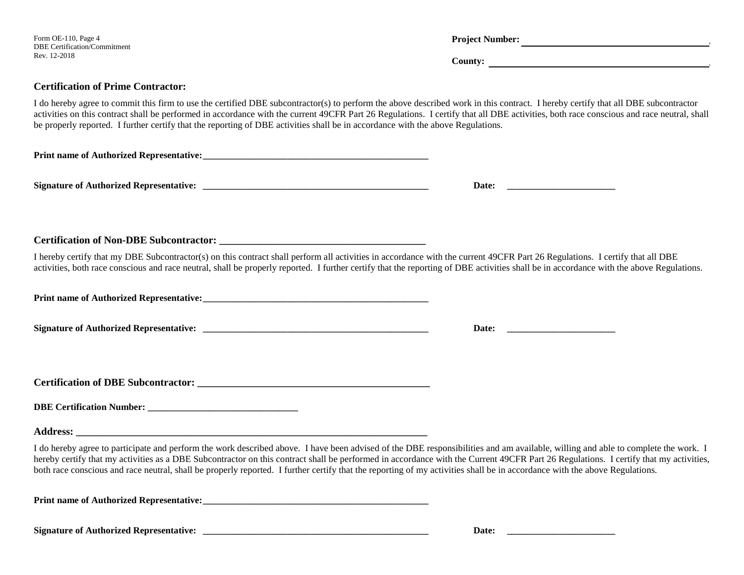| Form OE-110, Page 4<br>DBE Certification/Commitment                                                                                                                                                                                                                                                                                                                                                                                                                                                                                                     | Project Number: |  |  |
|---------------------------------------------------------------------------------------------------------------------------------------------------------------------------------------------------------------------------------------------------------------------------------------------------------------------------------------------------------------------------------------------------------------------------------------------------------------------------------------------------------------------------------------------------------|-----------------|--|--|
| Rev. 12-2018                                                                                                                                                                                                                                                                                                                                                                                                                                                                                                                                            | County:         |  |  |
| <b>Certification of Prime Contractor:</b>                                                                                                                                                                                                                                                                                                                                                                                                                                                                                                               |                 |  |  |
| I do hereby agree to commit this firm to use the certified DBE subcontractor(s) to perform the above described work in this contract. I hereby certify that all DBE subcontractor<br>activities on this contract shall be performed in accordance with the current 49CFR Part 26 Regulations. I certify that all DBE activities, both race conscious and race neutral, shall<br>be properly reported. I further certify that the reporting of DBE activities shall be in accordance with the above Regulations.                                         |                 |  |  |
|                                                                                                                                                                                                                                                                                                                                                                                                                                                                                                                                                         |                 |  |  |
|                                                                                                                                                                                                                                                                                                                                                                                                                                                                                                                                                         |                 |  |  |
|                                                                                                                                                                                                                                                                                                                                                                                                                                                                                                                                                         |                 |  |  |
| I hereby certify that my DBE Subcontractor(s) on this contract shall perform all activities in accordance with the current 49CFR Part 26 Regulations. I certify that all DBE<br>activities, both race conscious and race neutral, shall be properly reported. I further certify that the reporting of DBE activities shall be in accordance with the above Regulations.                                                                                                                                                                                 |                 |  |  |
|                                                                                                                                                                                                                                                                                                                                                                                                                                                                                                                                                         |                 |  |  |
|                                                                                                                                                                                                                                                                                                                                                                                                                                                                                                                                                         |                 |  |  |
|                                                                                                                                                                                                                                                                                                                                                                                                                                                                                                                                                         |                 |  |  |
|                                                                                                                                                                                                                                                                                                                                                                                                                                                                                                                                                         |                 |  |  |
|                                                                                                                                                                                                                                                                                                                                                                                                                                                                                                                                                         |                 |  |  |
| I do hereby agree to participate and perform the work described above. I have been advised of the DBE responsibilities and am available, willing and able to complete the work. I<br>hereby certify that my activities as a DBE Subcontractor on this contract shall be performed in accordance with the Current 49CFR Part 26 Regulations. I certify that my activities,<br>both race conscious and race neutral, shall be properly reported. I further certify that the reporting of my activities shall be in accordance with the above Regulations. |                 |  |  |
|                                                                                                                                                                                                                                                                                                                                                                                                                                                                                                                                                         |                 |  |  |
|                                                                                                                                                                                                                                                                                                                                                                                                                                                                                                                                                         |                 |  |  |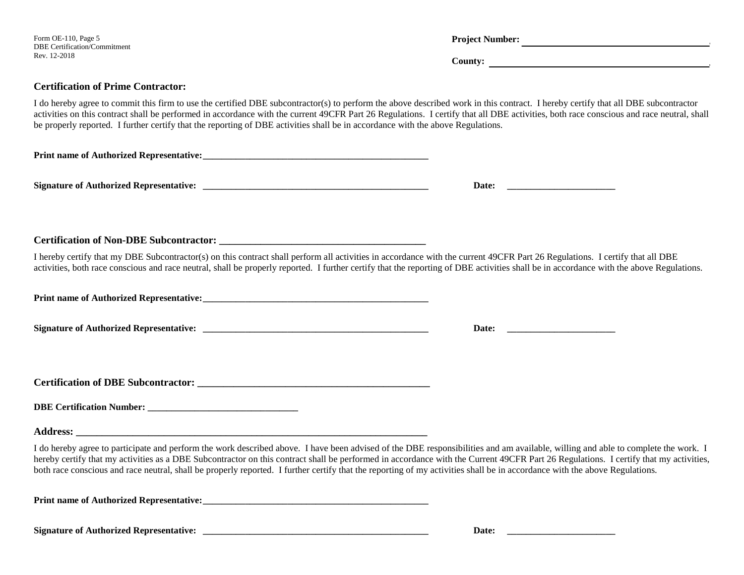| Form OE-110, Page 5<br><b>DBE Certification/Commitment</b>                                                                                                                                                                                                                                                                                                                                                                                                                                                                                              |  |  |
|---------------------------------------------------------------------------------------------------------------------------------------------------------------------------------------------------------------------------------------------------------------------------------------------------------------------------------------------------------------------------------------------------------------------------------------------------------------------------------------------------------------------------------------------------------|--|--|
| Rev. 12-2018                                                                                                                                                                                                                                                                                                                                                                                                                                                                                                                                            |  |  |
| <b>Certification of Prime Contractor:</b>                                                                                                                                                                                                                                                                                                                                                                                                                                                                                                               |  |  |
| I do hereby agree to commit this firm to use the certified DBE subcontractor(s) to perform the above described work in this contract. I hereby certify that all DBE subcontractor<br>activities on this contract shall be performed in accordance with the current 49CFR Part 26 Regulations. I certify that all DBE activities, both race conscious and race neutral, shall<br>be properly reported. I further certify that the reporting of DBE activities shall be in accordance with the above Regulations.                                         |  |  |
|                                                                                                                                                                                                                                                                                                                                                                                                                                                                                                                                                         |  |  |
|                                                                                                                                                                                                                                                                                                                                                                                                                                                                                                                                                         |  |  |
|                                                                                                                                                                                                                                                                                                                                                                                                                                                                                                                                                         |  |  |
|                                                                                                                                                                                                                                                                                                                                                                                                                                                                                                                                                         |  |  |
| I hereby certify that my DBE Subcontractor(s) on this contract shall perform all activities in accordance with the current 49CFR Part 26 Regulations. I certify that all DBE<br>activities, both race conscious and race neutral, shall be properly reported. I further certify that the reporting of DBE activities shall be in accordance with the above Regulations.                                                                                                                                                                                 |  |  |
|                                                                                                                                                                                                                                                                                                                                                                                                                                                                                                                                                         |  |  |
|                                                                                                                                                                                                                                                                                                                                                                                                                                                                                                                                                         |  |  |
|                                                                                                                                                                                                                                                                                                                                                                                                                                                                                                                                                         |  |  |
|                                                                                                                                                                                                                                                                                                                                                                                                                                                                                                                                                         |  |  |
|                                                                                                                                                                                                                                                                                                                                                                                                                                                                                                                                                         |  |  |
|                                                                                                                                                                                                                                                                                                                                                                                                                                                                                                                                                         |  |  |
| I do hereby agree to participate and perform the work described above. I have been advised of the DBE responsibilities and am available, willing and able to complete the work. I<br>hereby certify that my activities as a DBE Subcontractor on this contract shall be performed in accordance with the Current 49CFR Part 26 Regulations. I certify that my activities,<br>both race conscious and race neutral, shall be properly reported. I further certify that the reporting of my activities shall be in accordance with the above Regulations. |  |  |
|                                                                                                                                                                                                                                                                                                                                                                                                                                                                                                                                                         |  |  |
|                                                                                                                                                                                                                                                                                                                                                                                                                                                                                                                                                         |  |  |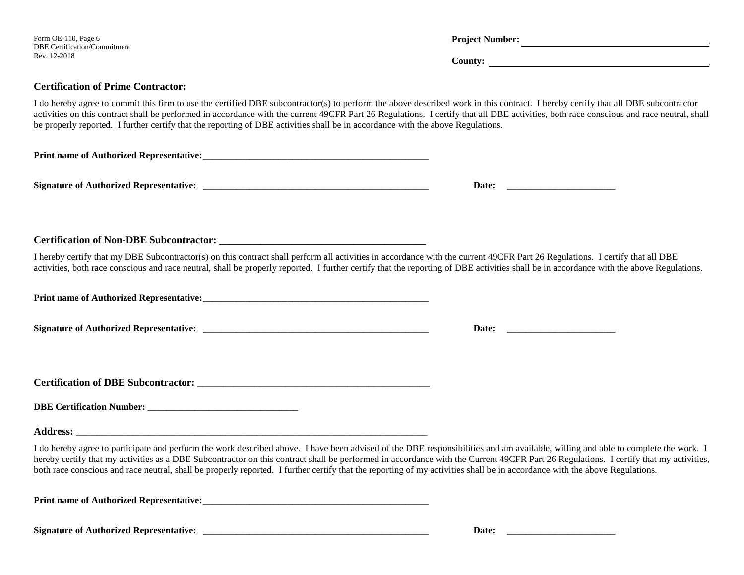| Form OE-110, Page 6<br>DBE Certification/Commitment<br>Rev. 12-2018                                                                                                                                                                                                                                                                                                                                                                                                                                                                                     | Project Number:                                                                                                               |
|---------------------------------------------------------------------------------------------------------------------------------------------------------------------------------------------------------------------------------------------------------------------------------------------------------------------------------------------------------------------------------------------------------------------------------------------------------------------------------------------------------------------------------------------------------|-------------------------------------------------------------------------------------------------------------------------------|
|                                                                                                                                                                                                                                                                                                                                                                                                                                                                                                                                                         | County: $\qquad \qquad \qquad$                                                                                                |
| <b>Certification of Prime Contractor:</b>                                                                                                                                                                                                                                                                                                                                                                                                                                                                                                               |                                                                                                                               |
| I do hereby agree to commit this firm to use the certified DBE subcontractor(s) to perform the above described work in this contract. I hereby certify that all DBE subcontractor<br>activities on this contract shall be performed in accordance with the current 49CFR Part 26 Regulations. I certify that all DBE activities, both race conscious and race neutral, shall<br>be properly reported. I further certify that the reporting of DBE activities shall be in accordance with the above Regulations.                                         |                                                                                                                               |
|                                                                                                                                                                                                                                                                                                                                                                                                                                                                                                                                                         |                                                                                                                               |
|                                                                                                                                                                                                                                                                                                                                                                                                                                                                                                                                                         |                                                                                                                               |
|                                                                                                                                                                                                                                                                                                                                                                                                                                                                                                                                                         |                                                                                                                               |
|                                                                                                                                                                                                                                                                                                                                                                                                                                                                                                                                                         |                                                                                                                               |
| I hereby certify that my DBE Subcontractor(s) on this contract shall perform all activities in accordance with the current 49CFR Part 26 Regulations. I certify that all DBE<br>activities, both race conscious and race neutral, shall be properly reported. I further certify that the reporting of DBE activities shall be in accordance with the above Regulations.                                                                                                                                                                                 |                                                                                                                               |
|                                                                                                                                                                                                                                                                                                                                                                                                                                                                                                                                                         |                                                                                                                               |
|                                                                                                                                                                                                                                                                                                                                                                                                                                                                                                                                                         |                                                                                                                               |
|                                                                                                                                                                                                                                                                                                                                                                                                                                                                                                                                                         |                                                                                                                               |
|                                                                                                                                                                                                                                                                                                                                                                                                                                                                                                                                                         |                                                                                                                               |
|                                                                                                                                                                                                                                                                                                                                                                                                                                                                                                                                                         |                                                                                                                               |
|                                                                                                                                                                                                                                                                                                                                                                                                                                                                                                                                                         |                                                                                                                               |
| I do hereby agree to participate and perform the work described above. I have been advised of the DBE responsibilities and am available, willing and able to complete the work. I<br>hereby certify that my activities as a DBE Subcontractor on this contract shall be performed in accordance with the Current 49CFR Part 26 Regulations. I certify that my activities,<br>both race conscious and race neutral, shall be properly reported. I further certify that the reporting of my activities shall be in accordance with the above Regulations. |                                                                                                                               |
|                                                                                                                                                                                                                                                                                                                                                                                                                                                                                                                                                         |                                                                                                                               |
|                                                                                                                                                                                                                                                                                                                                                                                                                                                                                                                                                         | Date:<br><u> 1980 - John Stein, mars and de Britain and de Britain and de Britain and de Britain and de Britain and de Br</u> |